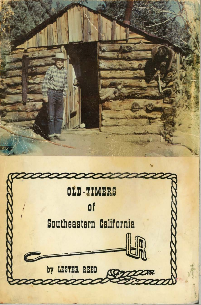

by LESTER REED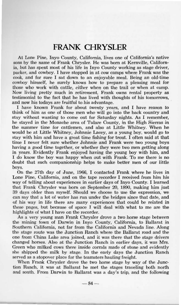## **FRANK CHRYSLER**

At Lone Pine, Inyo County, California, lives one of California's native sons by the name of Frank Chrysler. He was born at Kernville. California, but has spent most of his life in Invo County working as stage driver. packer, and cowboy. I have stopped in at cow camps where Frank was the cook, and for sure I sat down to an enjoyable meal. Being an old-time cowboy himself, he surely knows how to prepare a pleasing meal for those who work with cattle, either when on the trail or when at camp. Now living pretty much in retirement. Frank owns rental property as testimonial to the fact that he has lived with thoughts of his tomorrows. and now his todays are fruitful to his advantage.

I have known Frank for about twenty years, and I have reason to think of him as one of those men who will go into the back country and stay without wanting to come out for Saturday nights. As I remember, he stayed in the Monache area of Tulare County, in the High Sierras in the summer time for cattlemen, and also at Little Whitney. When he would be at Little Whitney, Johnnie Lacey, as a young boy, would go to stay with him and have a great time fishing for trout. I often said at that time I never felt sure whether Johnnie and Frank were two young boys having a good time together, or whether they were two men getting along in years. Evidently Frank enjoyed having the young boy with him, and I do know the boy was happy when out with Frank. To me there is no doubt that such companionship helps to make better men of our little boys.

On the 27th day of June, 1966. I contacted Frank where he lives in Lone Pine, California, and on the tape recorder I received from him his way of telling about experiences in earlier days of Invo County. I learned that Frank Chrysler was born on September 20, 1890, making him just 39 days older than myself. Should we choose to use the expression, we can say that a lot of water has run under the bridges since that date, and of his way in life there are many experiences that could be related in these pages, but because of space I will deal with what to me are the highlights of what I have on the recorder.

As a very young man Frank Chrysler drove a two horse stage between the mining town of Darwin in Invo County, California, to Ballarat in Southern California, not far from the California and Nevada line. Along the stage route was the Junction Ranch where the Ballarat road and the one from China Lake area joined, and it was there that the stage drivers changed horses. Also at the Junction Ranch in earlier days, it was Mrs. Green who milked cows there inside corrals made of stone and evidently she shipped the milk by stage. In the early days the Junction Ranch served as a stopover place for the teamsters hauling freight.

When Frank Chrysler drove the two horse stage by way of the Junction Ranch, it was at Ballarat he met the stages traveling both north and south. From Darwin to Ballarat was a day's trip, and the following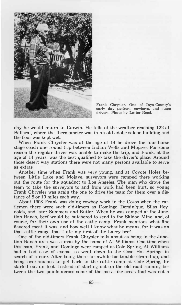

**Frank Chrysler. One of Inyo County's early day packers, cowboys, and stage drivers. Photo by Lester Reed.** 

day he would return to Darwin. He tells of the weather reaching 122 at Ballarat, where the thermometer was in an old adobe saloon building and the floor was kept wet.

When Frank Chrysler was at the age of 14 he drove the four horse stage coach one round trip between Indian Wells and Mojave. For some reason the regular driver was unable to make the trip, and Frank, at the age of 14 years, was the best qualified to take the driver's place. Around those desert way stations there were not many persons available to serve as extras.

Another time when Frank was very young, and at Coyote Holes between Little Lake and Mojave, surveyors were camped there working out the route for the aquaduct to Los Angeles. The man who drove the team to take the surveyors to and from work had been hurt, so young Frank Chrysler was again the one to drive the team for them over a distance of 8 or 10 miles each way.

About 1908 Frank was doing cowboy work in the Cosos when the cattlemen there were such old-timers as Domingo Dominique, Silas Reynolds, and later Summers and Butler. When he was camped at the Junction Ranch, beef would be butchered to send to the Skidoo Mine, and, of course, for their own use at the cattle camp. Frank mentions what fine flavored meat it was, and how well I know what he means, for it was on that cattle range that I ate my first of the Lacey beef.

One of the old-timers Frank Chrysler tells about as being in the Junction Ranch area was a man by the name of Al Williams. One time when this man, Frank, and Domingo were camped at. Cole Spring, Al Williams had a bad case of exema, so went down to the Coso Hot Springs in search of a cure. After being there for awhile his trouble cleared up, and being over-anxious to get back to the cattle camp at Cole Spring, he started out on foot. Instead of starting out on the old road running between the two points across some of the mesa-like areas that was not a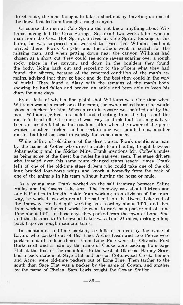direct route, the man thought to take a short-cut by traveling up one of the draws that led him through a rough canyon.

Of course the men at Cole Spring did not know anything about Williams having left the Coso Springs. So, about two weeks later, when a man from the Coso Hot Springs arrived at Cole Spring looking for his burro, he was surprised and worried to learn that Williams had not arrived there. Frank Chrysler and the others went in search for the missing man, and when getting down near the canyon Williams had chosen as a short cut, they could see some ravens soaring over a rough rocky place in the canyon, and down in the boulders they found the body. Going back out and reporting to the officers what they had found, the officers, because of the reported condition of the man's remains, advised that they go back and do the best they could in the way of burial. They found a diary with the remains of the man's body showing he had fallen and broken an ankle and been able to keep his diary for nine days.

Frank tells of what a fine pistol shot Williams was. One time when Williams was at a ranch or cattle camp, the owner asked him if he would shoot a chicken for him. When a certain rooster was pointed out by the man, Williams jerked his pistol and shooting from the hip, shot the rooster's head off. Of course it was easy to think that this might have been an accidental shot, but not long after when the owner of the place wanted another chicken, and a certain one was pointed out, another rooster had lost his head in exactly the same manner.

While telling of old-timers of the desert area, Frank mentions a man by the name of Coffee who drove a mule team hauling freight between Johannesburg and the Skidoo Mine. Frank mentions Mr. Coffee's mules as being some of the finest big mules he has ever seen. The stage drivers who traveled over this same route changed teams several times. Frank tells of one of the old-time stage drivers who could take one of the old long braided four-horse whips and knock a horse-fly from the back of one of the animals in his team without hurting the horse or mule.

As a young man Frank worked on the salt tramway between Saline Valley and the Owens Lake area. The tramway was about thirteen and one half miles in length. Aside from working on a division of the tramway, he worked two winters at the salt mill on the Owens Lake end of the tramway. He had quit working as a cowboy about 1917, and then from working at the salt works he went to work as a packer out of Lone Pine about 1921. In those days they packed from the town of Lone Pine, and the distance to Cottonwood Lakes was about 21 miles, making a long pack trip over rough mountain trails.

In mentioning old-time packers, he tells of a man by the name of Logan, who packed out of Big Pine. Archie Dean and Lee Pierce were packers out of Independence. From Lone Pine were the Olivases. Fred Burkehardt and a man by the name of Cooke were packing from Sage Flat at the foot of the mountains to the west of Olancha. Barney Sears had a pack station at Sage Flat and one on Cottonwood Creek. Bonner and Agner were old-time packers out of Lone Pine. Then farther to the south than Sage Flat was a packer by the name of Cowan, and another by the name of Phelan. Sam Lewis bought the Cowan Station.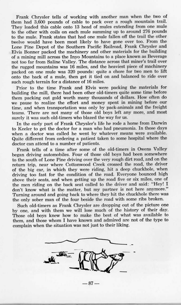Frank Chrysler tells of working with another man when the two of them had 3,600 pounds of cable to pack over a rough mountain trail. They loaded this cable onto 13 head of mules extending from one mule to the other with coils on each mule summing up to around 276 pounds to the mule. Frank states that had one mule fallen off the trail the other twelve would have been most likely to have gone over too. From the Lone Pine Depot of the Southern Pacific Railroad, Frank Chrysler and Elvis Bonner packed the machinery and other materials for the building of a mining mill across the Inyo Mountains to a place known as Beverage not too far from Saline Valley. The distance across that miner's trail over the rugged mountains was 16 miles, and the heaviest piece of machinery packed on one mule was 320 pounds: quite a chore for two men to lift onto the back of a mule, then get it tied on and balanced to ride over such rough terrain for a distance of 16 miles.

Prior to the time Frank and Elvis were packing the materials for building the mill, there had been other old-timers quite some time before them packing out gold worth many thousands of dollars. How often do we pause to realize the effort and money spent in mining before our time, and when transportation was only by pack-animals and the freight teams. There are not many of those old boys left any more, and most surely it was such old-timers who blazed the way for us.

In the early part of Frank Chrysler's life he rode a horse from Darwin to Keeler to get the doctor for a man who had pneumonia. In those days when a doctor was called he went by whatever means were available. Quite different from ordering a patient taken to some hospital where the doctor can attend to a number of patients.

Frank tells of a time after some of the old-timers in Owens Valley began driving automobiles. Four of those old boys had been somewhere to the south of Lone Pine driving over the very rough dirt road, and on the return trip, near where Cottonwood Creek crossed the road, the driver of the big car, in which they were riding, hit a deep chuckhole, when driving too fast for the condition of the road. Everyone bounced high above their seats, and when getting up the road five or six miles, one of the men riding on the back seat called to the driver and said: "Hey! I don't know what is the matter, but my partner is not here anymore." Turning around and going back to where they hit the chuckhole there was the only sober man of the four beside the road with some ribs broken.

Such old-timers as Frank Chrysler are dropping out of the picture one by one, and with them we will lose much of the history of their day. Those old boys knew how to make the best of what was available to them, and those whom I have known and admired are not of the type to complain when the situation was not just to their liking.



 $-87-$